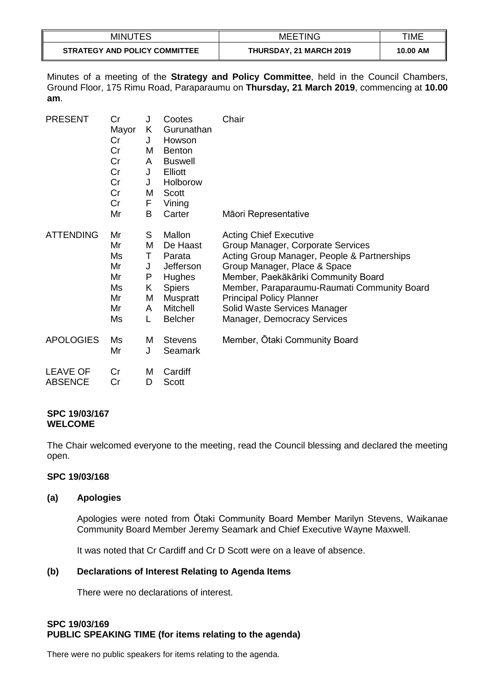| <b>MINUTES</b>                       | <b>MEETING</b>                 | TIME     |
|--------------------------------------|--------------------------------|----------|
| <b>STRATEGY AND POLICY COMMITTEE</b> | <b>THURSDAY, 21 MARCH 2019</b> | 10.00 AM |

Minutes of a meeting of the **Strategy and Policy Committee**, held in the Council Chambers, Ground Floor, 175 Rimu Road, Paraparaumu on **Thursday, 21 March 2019**, commencing at **10.00 am**.

| <b>PRESENT</b>                    | Сr<br>Mayor<br>Cr<br>Cr<br>Cr<br>Cr<br>Cr<br>Cr<br>Cr | J<br>K<br>J<br>M<br>A<br>J<br>J<br>M<br>F | Cootes<br>Gurunathan<br>Howson<br><b>Benton</b><br><b>Buswell</b><br>Elliott<br>Holborow<br>Scott<br>Vining           | Chair                                                                                                                                                                                                                                                                                                                                     |
|-----------------------------------|-------------------------------------------------------|-------------------------------------------|-----------------------------------------------------------------------------------------------------------------------|-------------------------------------------------------------------------------------------------------------------------------------------------------------------------------------------------------------------------------------------------------------------------------------------------------------------------------------------|
|                                   | Mr                                                    | B                                         | Carter                                                                                                                | Māori Representative                                                                                                                                                                                                                                                                                                                      |
| <b>ATTENDING</b>                  | Mr<br>Mr<br>Ms<br>Mr<br>Mr<br>Ms<br>Mr<br>Mr<br>Ms    | S<br>M<br>Τ<br>J<br>P<br>Κ<br>M<br>A<br>L | Mallon<br>De Haast<br>Parata<br>Jefferson<br>Hughes<br><b>Spiers</b><br><b>Muspratt</b><br>Mitchell<br><b>Belcher</b> | <b>Acting Chief Executive</b><br>Group Manager, Corporate Services<br>Acting Group Manager, People & Partnerships<br>Group Manager, Place & Space<br>Member, Paekākāriki Community Board<br>Member, Paraparaumu-Raumati Community Board<br><b>Principal Policy Planner</b><br>Solid Waste Services Manager<br>Manager, Democracy Services |
| <b>APOLOGIES</b>                  | Ms<br>Mr                                              | M<br>J                                    | <b>Stevens</b><br>Seamark                                                                                             | Member, Otaki Community Board                                                                                                                                                                                                                                                                                                             |
| <b>LEAVE OF</b><br><b>ABSENCE</b> | Cr<br>Cr                                              | M<br>D                                    | Cardiff<br><b>Scott</b>                                                                                               |                                                                                                                                                                                                                                                                                                                                           |

#### **SPC 19/03/167 WELCOME**

The Chair welcomed everyone to the meeting, read the Council blessing and declared the meeting open.

#### **SPC 19/03/168**

#### **(a) Apologies**

Apologies were noted from Ōtaki Community Board Member Marilyn Stevens, Waikanae Community Board Member Jeremy Seamark and Chief Executive Wayne Maxwell.

It was noted that Cr Cardiff and Cr D Scott were on a leave of absence.

# **(b) Declarations of Interest Relating to Agenda Items**

There were no declarations of interest.

# **SPC 19/03/169 PUBLIC SPEAKING TIME (for items relating to the agenda)**

There were no public speakers for items relating to the agenda.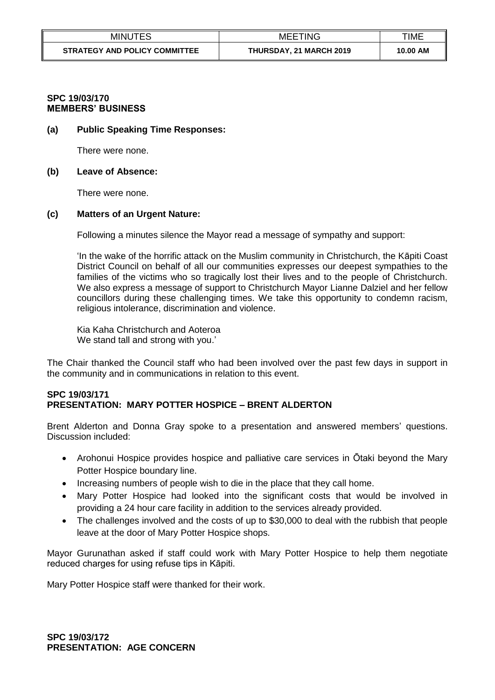| <b>MINUTES</b>                | <b>MEETING</b>                 | TIME     |
|-------------------------------|--------------------------------|----------|
| STRATEGY AND POLICY COMMITTEE | <b>THURSDAY, 21 MARCH 2019</b> | 10.00 AM |

### **SPC 19/03/170 MEMBERS' BUSINESS**

#### **(a) Public Speaking Time Responses:**

There were none.

#### **(b) Leave of Absence:**

There were none.

# **(c) Matters of an Urgent Nature:**

Following a minutes silence the Mayor read a message of sympathy and support:

'In the wake of the horrific attack on the Muslim community in Christchurch, the Kāpiti Coast District Council on behalf of all our communities expresses our deepest sympathies to the families of the victims who so tragically lost their lives and to the people of Christchurch. We also express a message of support to Christchurch Mayor Lianne Dalziel and her fellow councillors during these challenging times. We take this opportunity to condemn racism, religious intolerance, discrimination and violence.

Kia Kaha Christchurch and Aoteroa We stand tall and strong with you.'

The Chair thanked the Council staff who had been involved over the past few days in support in the community and in communications in relation to this event.

# **SPC 19/03/171 PRESENTATION: MARY POTTER HOSPICE – BRENT ALDERTON**

Brent Alderton and Donna Gray spoke to a presentation and answered members' questions. Discussion included:

- Arohonui Hospice provides hospice and palliative care services in Ōtaki beyond the Mary Potter Hospice boundary line.
- Increasing numbers of people wish to die in the place that they call home.
- Mary Potter Hospice had looked into the significant costs that would be involved in providing a 24 hour care facility in addition to the services already provided.
- The challenges involved and the costs of up to \$30,000 to deal with the rubbish that people leave at the door of Mary Potter Hospice shops.

Mayor Gurunathan asked if staff could work with Mary Potter Hospice to help them negotiate reduced charges for using refuse tips in Kāpiti.

Mary Potter Hospice staff were thanked for their work.

**SPC 19/03/172 PRESENTATION: AGE CONCERN**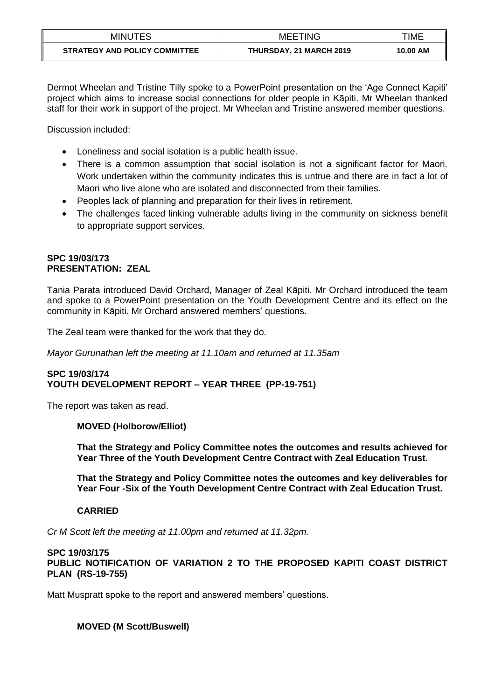| <b>MINUTES</b>                       | <b>MEETING</b>                 | TIME     |
|--------------------------------------|--------------------------------|----------|
| <b>STRATEGY AND POLICY COMMITTEE</b> | <b>THURSDAY, 21 MARCH 2019</b> | 10.00 AM |

Dermot Wheelan and Tristine Tilly spoke to a PowerPoint presentation on the 'Age Connect Kapiti' project which aims to increase social connections for older people in Kāpiti. Mr Wheelan thanked staff for their work in support of the project. Mr Wheelan and Tristine answered member questions.

Discussion included:

- Loneliness and social isolation is a public health issue.
- There is a common assumption that social isolation is not a significant factor for Maori. Work undertaken within the community indicates this is untrue and there are in fact a lot of Maori who live alone who are isolated and disconnected from their families.
- Peoples lack of planning and preparation for their lives in retirement.
- The challenges faced linking vulnerable adults living in the community on sickness benefit to appropriate support services.

## **SPC 19/03/173 PRESENTATION: ZEAL**

Tania Parata introduced David Orchard, Manager of Zeal Kāpiti. Mr Orchard introduced the team and spoke to a PowerPoint presentation on the Youth Development Centre and its effect on the community in Kāpiti. Mr Orchard answered members' questions.

The Zeal team were thanked for the work that they do.

*Mayor Gurunathan left the meeting at 11.10am and returned at 11.35am*

### **SPC 19/03/174 YOUTH DEVELOPMENT REPORT – YEAR THREE (PP-19-751)**

The report was taken as read.

# **MOVED (Holborow/Elliot)**

**That the Strategy and Policy Committee notes the outcomes and results achieved for Year Three of the Youth Development Centre Contract with Zeal Education Trust.**

**That the Strategy and Policy Committee notes the outcomes and key deliverables for Year Four -Six of the Youth Development Centre Contract with Zeal Education Trust.** 

# **CARRIED**

*Cr M Scott left the meeting at 11.00pm and returned at 11.32pm.*

#### **SPC 19/03/175 PUBLIC NOTIFICATION OF VARIATION 2 TO THE PROPOSED KAPITI COAST DISTRICT PLAN (RS-19-755)**

Matt Muspratt spoke to the report and answered members' questions.

# **MOVED (M Scott/Buswell)**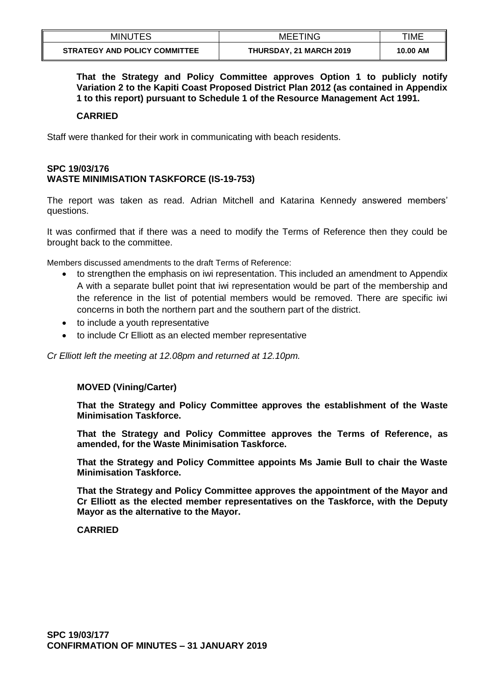| <b>MINUTES</b>                       | <b>MEETING</b>          | TIME     |
|--------------------------------------|-------------------------|----------|
| <b>STRATEGY AND POLICY COMMITTEE</b> | THURSDAY, 21 MARCH 2019 | 10.00 AM |

**That the Strategy and Policy Committee approves Option 1 to publicly notify Variation 2 to the Kapiti Coast Proposed District Plan 2012 (as contained in Appendix 1 to this report) pursuant to Schedule 1 of the Resource Management Act 1991.** 

#### **CARRIED**

Staff were thanked for their work in communicating with beach residents.

# **SPC 19/03/176 WASTE MINIMISATION TASKFORCE (IS-19-753)**

The report was taken as read. Adrian Mitchell and Katarina Kennedy answered members' questions.

It was confirmed that if there was a need to modify the Terms of Reference then they could be brought back to the committee.

Members discussed amendments to the draft Terms of Reference:

- to strengthen the emphasis on iwi representation. This included an amendment to Appendix A with a separate bullet point that iwi representation would be part of the membership and the reference in the list of potential members would be removed. There are specific iwi concerns in both the northern part and the southern part of the district.
- to include a youth representative
- to include Cr Elliott as an elected member representative

*Cr Elliott left the meeting at 12.08pm and returned at 12.10pm.*

#### **MOVED (Vining/Carter)**

**That the Strategy and Policy Committee approves the establishment of the Waste Minimisation Taskforce.**

**That the Strategy and Policy Committee approves the Terms of Reference, as amended, for the Waste Minimisation Taskforce.**

**That the Strategy and Policy Committee appoints Ms Jamie Bull to chair the Waste Minimisation Taskforce.**

**That the Strategy and Policy Committee approves the appointment of the Mayor and Cr Elliott as the elected member representatives on the Taskforce, with the Deputy Mayor as the alternative to the Mayor.**

#### **CARRIED**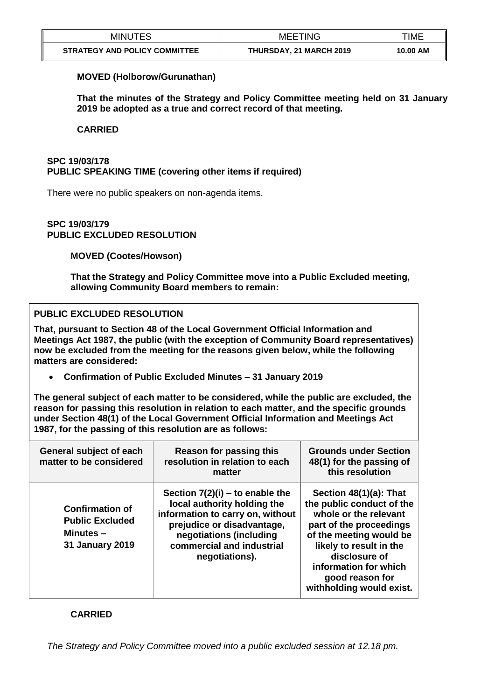| <b>MINUTES</b>                       | <b>MEETING</b>                 | TIME     |
|--------------------------------------|--------------------------------|----------|
| <b>STRATEGY AND POLICY COMMITTEE</b> | <b>THURSDAY, 21 MARCH 2019</b> | 10.00 AM |

## **MOVED (Holborow/Gurunathan)**

**That the minutes of the Strategy and Policy Committee meeting held on 31 January 2019 be adopted as a true and correct record of that meeting.**

#### **CARRIED**

# **SPC 19/03/178 PUBLIC SPEAKING TIME (covering other items if required)**

There were no public speakers on non-agenda items.

### **SPC 19/03/179 PUBLIC EXCLUDED RESOLUTION**

**MOVED (Cootes/Howson)**

**That the Strategy and Policy Committee move into a Public Excluded meeting, allowing Community Board members to remain:**

# **PUBLIC EXCLUDED RESOLUTION**

**That, pursuant to Section 48 of the Local Government Official Information and Meetings Act 1987, the public (with the exception of Community Board representatives) now be excluded from the meeting for the reasons given below, while the following matters are considered:**

**Confirmation of Public Excluded Minutes – 31 January 2019**

**The general subject of each matter to be considered, while the public are excluded, the reason for passing this resolution in relation to each matter, and the specific grounds under Section 48(1) of the Local Government Official Information and Meetings Act 1987, for the passing of this resolution are as follows:**

| General subject of each<br>matter to be considered                                        | <b>Reason for passing this</b><br>resolution in relation to each<br>matter                                                                                                                                   | <b>Grounds under Section</b><br>48(1) for the passing of<br>this resolution                                                                                                                                                                            |
|-------------------------------------------------------------------------------------------|--------------------------------------------------------------------------------------------------------------------------------------------------------------------------------------------------------------|--------------------------------------------------------------------------------------------------------------------------------------------------------------------------------------------------------------------------------------------------------|
| <b>Confirmation of</b><br><b>Public Excluded</b><br>Minutes $-$<br><b>31 January 2019</b> | Section $7(2)(i)$ – to enable the<br>local authority holding the<br>information to carry on, without<br>prejudice or disadvantage,<br>negotiations (including<br>commercial and industrial<br>negotiations). | Section 48(1)(a): That<br>the public conduct of the<br>whole or the relevant<br>part of the proceedings<br>of the meeting would be<br>likely to result in the<br>disclosure of<br>information for which<br>good reason for<br>withholding would exist. |

# **CARRIED**

*The Strategy and Policy Committee moved into a public excluded session at 12.18 pm.*